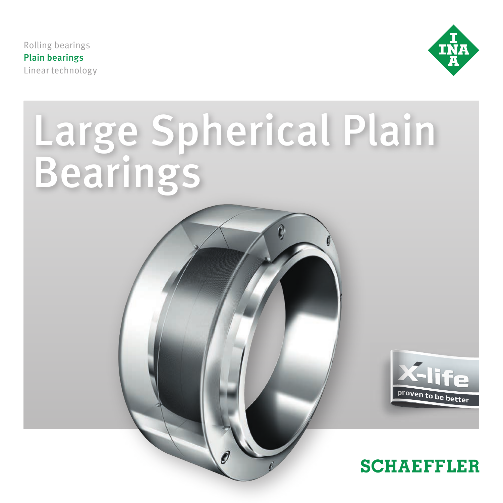Rolling bearings Plain bearings Linear technology



# Large Spherical Plain Bearings

0



# **SCHAEFFLER**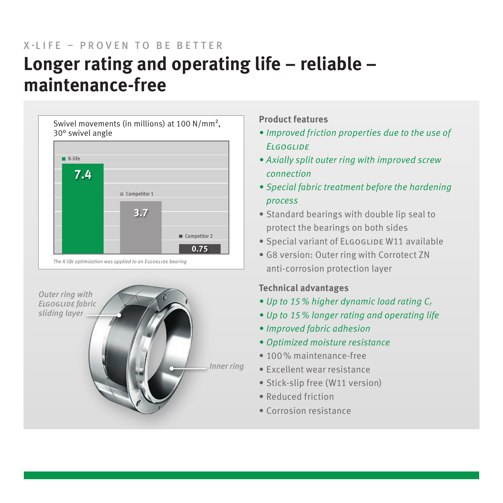# **Longer rating and operating life – reliable – maintenance-free** X-LIFF - PROVEN TO BE BETTER





## **Product features**

- *• Improved friction properties due to the use of Elgoglide*
- *• Axially split outer ring with improved screw connection*
- *• Special fabric treatment before the hardening process*
- Standard bearings with double lip seal to protect the bearings on both sides
- Special variant of ELGOGLIDE W11 available
- G8 version: Outer ring with Corrotect ZN anti-corrosion protection layer

# **Technical advantages**

- *• Up to 15% higher dynamic load rating Cr*
- *• Up to 15% longer rating and operating life*
- *• Improved fabric adhesion*
- *• Optimized moisture resistance*
- 100% maintenance-free
- Excellent wear resistance
- Stick-slip free (W11 version)
- Reduced friction
- Corrosion resistance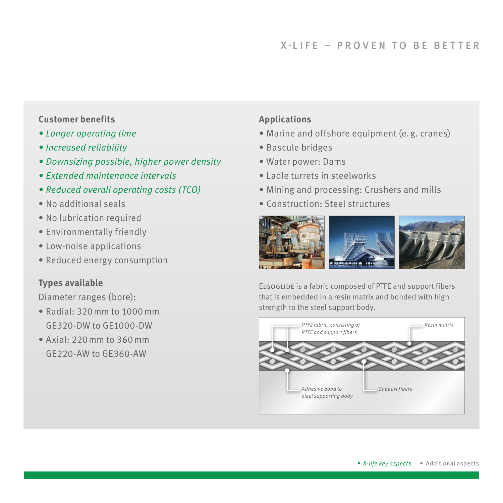### **Customer benefits**

- *• Longer operating time*
- *• Increased reliability*
- *• Downsizing possible, higher power density*
- *• Extended maintenance intervals*
- *• Reduced overall operating costs (TCO)*
- No additional seals
- No lubrication required
- Environmentally friendly
- Low-noise applications
- Reduced energy consumption

### **Types available**

Diameter ranges (bore):

- Radial: 320mm to 1000mm GE320-DW to GE1000-DW
- Axial: 220mm to 360mm GE220-AW to GE360-AW

#### **Applications**

- Marine and offshore equipment (e.g. cranes)
- Bascule bridges
- Water power: Dams
- Ladle turrets in steelworks
- Mining and processing: Crushers and mills
- Construction: Steel structures



Elgoglide is a fabric composed of PTFE and support fibers that is embedded in a resin matrix and bonded with high strength to the steel support body.